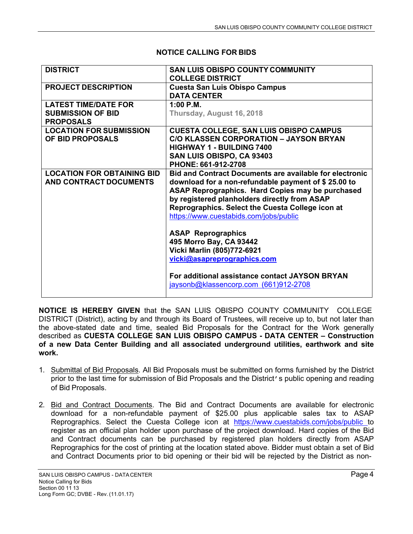| <b>DISTRICT</b>                                                             | <b>SAN LUIS OBISPO COUNTY COMMUNITY</b><br><b>COLLEGE DISTRICT</b>                                                                                                                                                                                                                                                      |  |
|-----------------------------------------------------------------------------|-------------------------------------------------------------------------------------------------------------------------------------------------------------------------------------------------------------------------------------------------------------------------------------------------------------------------|--|
| <b>PROJECT DESCRIPTION</b>                                                  | <b>Cuesta San Luis Obispo Campus</b><br><b>DATA CENTER</b>                                                                                                                                                                                                                                                              |  |
| <b>LATEST TIME/DATE FOR</b><br><b>SUBMISSION OF BID</b><br><b>PROPOSALS</b> | 1:00 P.M.<br>Thursday, August 16, 2018                                                                                                                                                                                                                                                                                  |  |
| <b>LOCATION FOR SUBMISSION</b><br>OF BID PROPOSALS                          | <b>CUESTA COLLEGE, SAN LUIS OBISPO CAMPUS</b><br><b>C/O KLASSEN CORPORATION - JAYSON BRYAN</b><br><b>HIGHWAY 1 - BUILDING 7400</b><br>SAN LUIS OBISPO, CA 93403<br>PHONE: 661-912-2708                                                                                                                                  |  |
| <b>LOCATION FOR OBTAINING BID</b><br>AND CONTRACT DOCUMENTS                 | <b>Bid and Contract Documents are available for electronic</b><br>download for a non-refundable payment of \$25.00 to<br>ASAP Reprographics. Hard Copies may be purchased<br>by registered planholders directly from ASAP<br>Reprographics. Select the Cuesta College icon at<br>https://www.cuestabids.com/jobs/public |  |
|                                                                             | <b>ASAP Reprographics</b><br>495 Morro Bay, CA 93442<br>Vicki Marlin (805)772-6921<br>vicki@asapreprographics.com                                                                                                                                                                                                       |  |
|                                                                             | For additional assistance contact JAYSON BRYAN<br>jaysonb@klassencorp.com (661)912-2708                                                                                                                                                                                                                                 |  |

## **NOTICE CALLING FOR BIDS**

**NOTICE IS HEREBY GIVEN** that the SAN LUIS OBISPO COUNTY COMMUNITY COLLEGE DISTRICT (District), acting by and through its Board of Trustees, will receive up to, but not later than the above-stated date and time, sealed Bid Proposals for the Contract for the Work generally described as **CUESTA COLLEGE SAN LUIS OBISPO CAMPUS - DATA CENTER – Construction of a new Data Center Building and all associated underground utilities, earthwork and site work.**

- 1. Submittal of Bid Proposals. All Bid Proposals must be submitted on forms furnished by the District prior to the last time for submission of Bid Proposals and the District's public opening and reading of Bid Proposals.
- 2. Bid and Contract Documents. The Bid and Contract Documents are available for electronic download for a non-refundable payment of \$25.00 plus applicable sales tax to ASAP Reprographics. Select the Cuesta College icon at <https://www.cuestabids.com/jobs/public> to register as an official plan holder upon purchase of the project download. Hard copies of the Bid and Contract documents can be purchased by registered plan holders directly from ASAP Reprographics for the cost of printing at the location stated above. Bidder must obtain a set of Bid and Contract Documents prior to bid opening or their bid will be rejected by the District as non-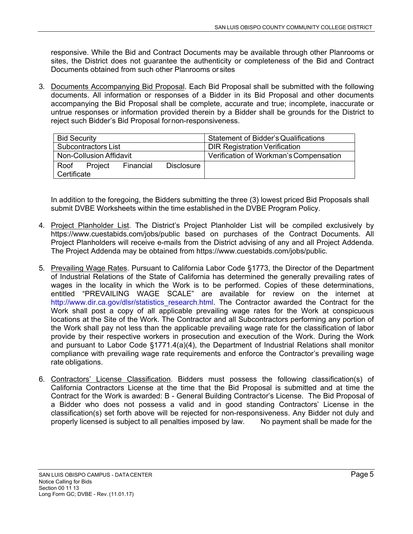responsive. While the Bid and Contract Documents may be available through other Planrooms or sites, the District does not guarantee the authenticity or completeness of the Bid and Contract Documents obtained from such other Planrooms or sites

3. Documents Accompanying Bid Proposal. Each Bid Proposal shall be submitted with the following documents. All information or responses of a Bidder in its Bid Proposal and other documents accompanying the Bid Proposal shall be complete, accurate and true; incomplete, inaccurate or untrue responses or information provided therein by a Bidder shall be grounds for the District to reject such Bidder's Bid Proposal fornon-responsiveness.

| <b>Bid Security</b>     |         |           |            | <b>Statement of Bidder's Qualifications</b> |
|-------------------------|---------|-----------|------------|---------------------------------------------|
| Subcontractors List     |         |           |            | <b>DIR Registration Verification</b>        |
| Non-Collusion Affidavit |         |           |            | Verification of Workman's Compensation      |
| Roof                    | Project | Financial | Disclosure |                                             |
| Certificate             |         |           |            |                                             |

In addition to the foregoing, the Bidders submitting the three (3) lowest priced Bid Proposals shall submit DVBE Worksheets within the time established in the DVBE Program Policy.

- 4. Project Planholder List. The District's Project Planholder List will be compiled exclusively by [https://www.cuestabids.com/jobs/public](http://www.cuestabids.com/jobs/public) based on purchases of the Contract Documents. All Project Planholders will receive e-mails from the District advising of any and all Project Addenda. The Project Addenda may be obtained from [https://www.cuestabids.com/jobs/public.](http://www.cuestabids.com/jobs/public)
- 5. Prevailing Wage Rates. Pursuant to California Labor Code §1773, the Director of the Department of Industrial Relations of the State of California has determined the generally prevailing rates of wages in the locality in which the Work is to be performed. Copies of these determinations, entitled "PREVAILING WAGE SCALE" are available for review on the internet at [http://www.dir.ca.gov/dlsr/statistics\\_research.html.](http://www.dir.ca.gov/dlsr/statistics_research.html) The Contractor awarded the Contract for the Work shall post a copy of all applicable prevailing wage rates for the Work at conspicuous locations at the Site of the Work. The Contractor and all Subcontractors performing any portion of the Work shall pay not less than the applicable prevailing wage rate for the classification of labor provide by their respective workers in prosecution and execution of the Work. During the Work and pursuant to Labor Code §1771.4(a)(4), the Department of Industrial Relations shall monitor compliance with prevailing wage rate requirements and enforce the Contractor's prevailing wage rate obligations.
- 6. Contractors' License Classification. Bidders must possess the following classification(s) of California Contractors License at the time that the Bid Proposal is submitted and at time the Contract for the Work is awarded: B - General Building Contractor's License. The Bid Proposal of a Bidder who does not possess a valid and in good standing Contractors' License in the classification(s) set forth above will be rejected for non-responsiveness. Any Bidder not duly and properly licensed is subject to all penalties imposed by law. No payment shall be made for the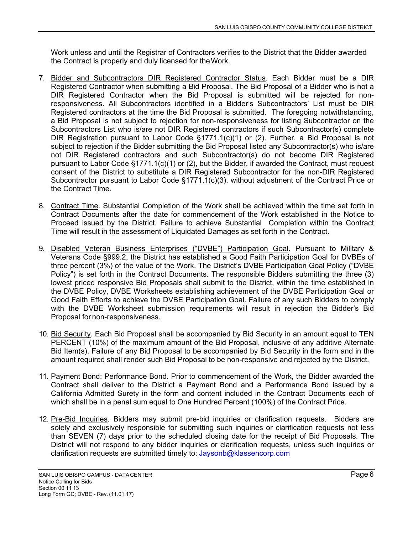Work unless and until the Registrar of Contractors verifies to the District that the Bidder awarded the Contract is properly and duly licensed for theWork.

- 7. Bidder and Subcontractors DIR Registered Contractor Status. Each Bidder must be a DIR Registered Contractor when submitting a Bid Proposal. The Bid Proposal of a Bidder who is not a DIR Registered Contractor when the Bid Proposal is submitted will be rejected for nonresponsiveness. All Subcontractors identified in a Bidder's Subcontractors' List must be DIR Registered contractors at the time the Bid Proposal is submitted. The foregoing notwithstanding, a Bid Proposal is not subject to rejection for non-responsiveness for listing Subcontractor on the Subcontractors List who is/are not DIR Registered contractors if such Subcontractor(s) complete DIR Registration pursuant to Labor Code §1771.1(c)(1) or (2). Further, a Bid Proposal is not subject to rejection if the Bidder submitting the Bid Proposal listed any Subcontractor(s) who is/are not DIR Registered contractors and such Subcontractor(s) do not become DIR Registered pursuant to Labor Code §1771.1(c)(1) or (2), but the Bidder, if awarded the Contract, must request consent of the District to substitute a DIR Registered Subcontractor for the non-DIR Registered Subcontractor pursuant to Labor Code §1771.1(c)(3), without adjustment of the Contract Price or the Contract Time.
- 8. Contract Time. Substantial Completion of the Work shall be achieved within the time set forth in Contract Documents after the date for commencement of the Work established in the Notice to Proceed issued by the District. Failure to achieve Substantial Completion within the Contract Time will result in the assessment of Liquidated Damages as set forth in the Contract.
- 9. Disabled Veteran Business Enterprises ("DVBE") Participation Goal. Pursuant to Military & Veterans Code §999.2, the District has established a Good Faith Participation Goal for DVBEs of three percent (3%) of the value of the Work. The District's DVBE Participation Goal Policy ("DVBE Policy") is set forth in the Contract Documents. The responsible Bidders submitting the three (3) lowest priced responsive Bid Proposals shall submit to the District, within the time established in the DVBE Policy, DVBE Worksheets establishing achievement of the DVBE Participation Goal or Good Faith Efforts to achieve the DVBE Participation Goal. Failure of any such Bidders to comply with the DVBE Worksheet submission requirements will result in rejection the Bidder's Bid Proposal for non-responsiveness.
- 10. Bid Security. Each Bid Proposal shall be accompanied by Bid Security in an amount equal to TEN PERCENT (10%) of the maximum amount of the Bid Proposal, inclusive of any additive Alternate Bid Item(s). Failure of any Bid Proposal to be accompanied by Bid Security in the form and in the amount required shall render such Bid Proposal to be non-responsive and rejected by the District.
- 11. Payment Bond; Performance Bond. Prior to commencement of the Work, the Bidder awarded the Contract shall deliver to the District a Payment Bond and a Performance Bond issued by a California Admitted Surety in the form and content included in the Contract Documents each of which shall be in a penal sum equal to One Hundred Percent (100%) of the Contract Price.
- 12. Pre-Bid Inquiries. Bidders may submit pre-bid inquiries or clarification requests. Bidders are solely and exclusively responsible for submitting such inquiries or clarification requests not less than SEVEN (7) days prior to the scheduled closing date for the receipt of Bid Proposals. The District will not respond to any bidder inquiries or clarification requests, unless such inquiries or clarification requests are submitted timely to: [Jaysonb@klassencorp.com](mailto:Jaysonb@klassencorp.com)